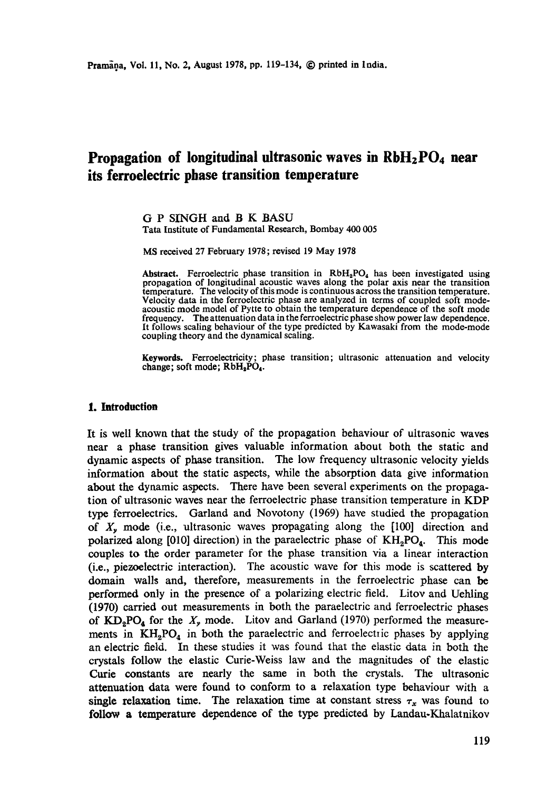# **Propagation of longitudinal ultrasonic waves in RbH<sub>2</sub>PO<sub>4</sub> near its ferroelectric phase transition temperature**

G P SINGH and B K BASU Tata Institute of Fundamental Research, Bombay 400 005

MS received 27 February 1978; revised 19 May 1978

Abstract. Ferroelectric phase transition in RbH<sub>2</sub>PO<sub>4</sub> has been investigated using propagation of longitudinal acoustic waves along the polar axis near the transition temperature. The velocity of this mode is continuous across the transition temperature. Velocity data in the ferroelectric phase are analyzed in terms of coupled soft modeacoustic mode model of Pytte to obtain the temperature dependence of the soft mode frequency. The attenuation data in the ferroelectric phase show power law dependence. It follows scaling behaviour of the type predicted by Kawasaki from the mode-mode coupling theory and the dynamical scaling.

**Keywords.** Ferroelectricity; phase transition; ultrasonic attenuation and velocity change; soft mode;  $RbH_2PO_4$ .

# **1. Introduction**

It is well known that the study of the propagation behaviour of ultrasonic waves near a phase transition gives valuable information about both the static and dynamic aspects of phase transition. The low frequency ultrasonic velocity yields information about the static aspects, while the absorption data give information about the dynamic aspects. There have been several experiments on the propagation of ultrasonic waves near the ferroelectric phase transition temperature in KDP type ferroelectrics. Garland and Novotony (1969) have studied the propagation of  $X<sub>v</sub>$  mode (i.e., ultrasonic waves propagating along the  $[100]$  direction and polarized along [010] direction) in the paraelectric phase of  $KH_{2}PO_{4}$ . This mode couples to the order parameter for the phase transition via a linear interaction (i.e., piezoelectric interaction). The acoustic wave for this mode is scattered by domain walls and, therefore, measurements in the ferroelectric phase can be performed only in the presence of a polarizing electric field. Litov and Uehling (1970) carried out measurements in both the paraelectric and ferroelectric phases of  $KD_2PO_4$  for the  $X<sub>y</sub>$  mode. Litov and Garland (1970) performed the measurements in  $KH_2PO_4$  in both the paraelectric and ferroelectric phases by applying an electric field. In these studies it was found that the elastic data in both the crystals follow the elastic Curie-Weiss law and the magnitudes of the elastic Curie constants are nearly the same in both the crystals. The ultrasonic attenuation data were found to conform to a relaxation type behaviour with a single relaxation time. The relaxation time at constant stress  $\tau_x$  was found to follow a temperature dependence of the type predicted by Landau-Khalatnikov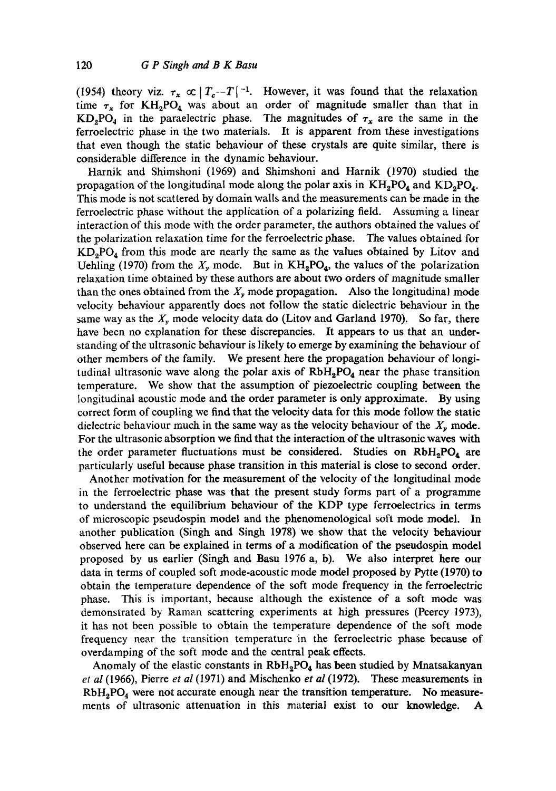(1954) theory viz.  $\tau_x \propto |T_c-T|^{-1}$ . However, it was found that the relaxation time  $\tau_x$  for KH<sub>2</sub>PO<sub>4</sub> was about an order of magnitude smaller than that in  $KD_2PO_4$  in the paraelectric phase. The magnitudes of  $\tau_x$  are the same in the ferroelectric phase in the two materials. It is apparent from these investigations that even though the static behaviour of these crystals are quite similar, there is considerable difference in the dynamic behaviour.

Harnik and Shimshoni (1969) and Shimshoni and Harnik (1970) studied the propagation of the longitudinal mode along the polar axis in  $KH_2PO_4$  and  $KD_2PO_4$ . This mode is not scattered by domain walls and the measurements can be made in the ferroelectric phase without the application of a polarizing field. Assuming a linear interaction of this mode with the order parameter, the authors obtained the values of the polarization relaxation time for the ferroelectric phase. The values obtained for  $KD_2PO_4$  from this mode are nearly the same as the values obtained by Litov and Uehling (1970) from the  $X<sub>y</sub>$  mode. But in  $KH<sub>2</sub>PO<sub>4</sub>$ , the values of the polarization relaxation time obtained by these authors are about two orders of magnitude smaller than the ones obtained from the  $X<sub>y</sub>$  mode propagation. Also the longitudinal mode velocity behaviour apparently does not follow the static dielectric behaviour in the same way as the  $X<sub>v</sub>$  mode velocity data do (Litov and Garland 1970). So far, there have been no explanation for these discrepancies. It appears to us that an understanding of the ultrasonic behaviour is likely to emerge by examining the behaviour of other members of the family. We present here the propagation behaviour of longitudinal ultrasonic wave along the polar axis of  $RbH<sub>2</sub>PO<sub>4</sub>$  near the phase transition temperature. We show that the assumption of piezoelectric coupling between the longitudinal acoustic mode and the order parameter is only approximate. By using correct form of coupling we find that the velocity data for this mode follow the static dielectric behaviour much in the same way as the velocity behaviour of the  $X<sub>y</sub>$  mode. For the ultrasonic absorption we find that the interaction of the ultrasonic waves with the order parameter fluctuations must be considered. Studies on  $RbH_2PO_4$  are particularly useful because phase transition in this material is close to second order.

Another motivation for the measurement of the velocity of the longitudinal mode in the ferroelectric phase was that the present study forms part of a programme to understand the equilibrium behaviour of the KDP type ferroelectrics in terms of microscopic pseudospin model and the phenomenological soft mode model. In another publication (Singh and Singh 1978) we show that the velocity behaviour observed here can be explained in terms of a modification of the pseudospin model proposed by us earlier (Singh and Basu 1976 a, b). We also interpret here our data in terms of coupled soft mode-acoustic mode model proposed by Pytte (1970) to obtain the temperature dependence of the soft mode frequency in the ferroelectric phase. This is important, because although the existence of a soft mode was demonstrated by Raman scattering experiments at high pressures (Peercy 1973), it has not been possible to obtain the temperature dependence of the soft mode frequency near the transition temperature in the ferroelectric phase because of overdamping of the soft mode and the central peak effects.

Anomaly of the elastic constants in  $RbH_2PO_4$  has been studied by Mnatsakanyan *et al* (1966), Pierre *et al* (1971) and Mischenko *et al* (1972). These measurements in  $RbH_2PO_4$  were not accurate enough near the transition temperature. No measurements of ultrasonic attenuation in this material exist to our knowledge. A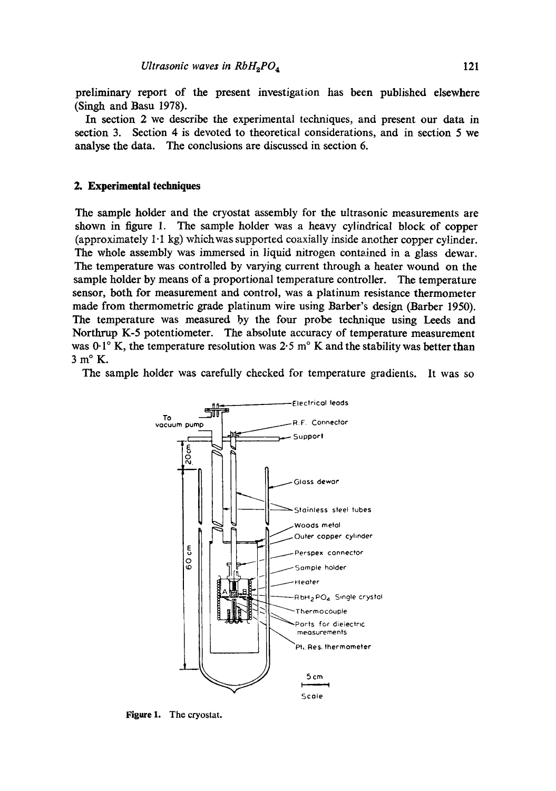preliminary report of the present investigation has been published elsewhere (Singh and Basu 1978).

In section 2 we describe the experimental techniques, and present our data in section 3. Section 4 is devoted to theoretical considerations, and in section 5 we analyse the data. The conclusions are discussed in section 6.

## **2. Experimental techniques**

The sample holder and the cryostat assembly for the ultrasonic measurements are shown in figure 1. The sample holder was a heavy cylindrical block of copper (approximately  $1 \cdot 1$  kg) which was supported coaxially inside another copper cylinder. The whole assembly was immersed in liquid nitrogen contained in a glass dewar. The temperature was controlled by varying current through a heater wound on the sample holder by means of a proportional temperature controller. The temperature sensor, both for measurement and control, was a platinum resistance thermometer made from thermometric grade platinum wire using Barber's design (Barber 1950). The temperature was measured by the four probe technique using Leeds and Northrup K-5 potentiometer. The absolute accuracy of temperature measurement was  $0.1^\circ$  K, the temperature resolution was 2.5 m<sup>o</sup> K and the stability was better than 3m°K.

The sample holder was carefully checked for temperature gradients. It was so



Figure 1. The cryostat.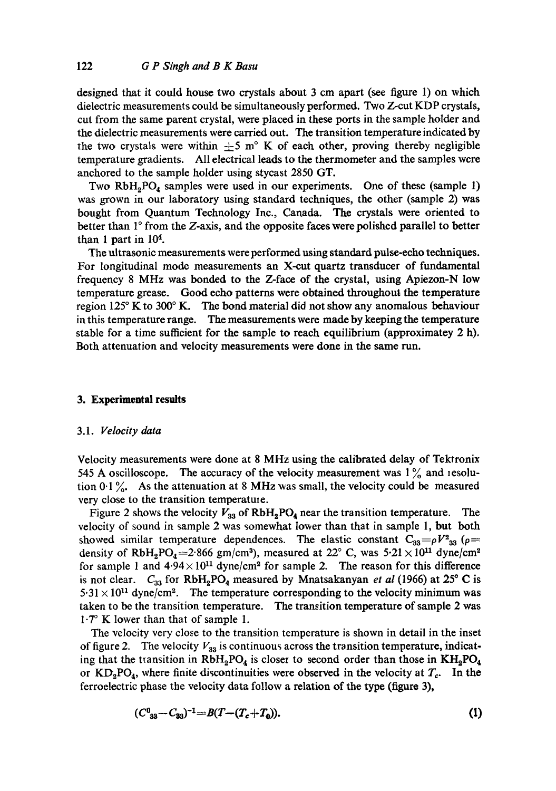designed that it could house two crystals about 3 cm apart (see figure 1) on which dielectric measurements could be simultaneously performed. Two Z-cut KDP crystals, cut from the same parent crystal, were placed in these ports in the sample holder and the dielectric measurements were carried out. The transition temperature indicated by the two crystals were within  $\pm 5$  m<sup>o</sup> K of each other, proving thereby negligible temperature gradients. All electrical leads to the thermometer and the samples were anchored to the sample holder using stycast 2850 GT.

Two  $RbH<sub>2</sub>PO<sub>4</sub>$  samples were used in our experiments. One of these (sample 1) was grown in our laboratory using standard techniques, the other (sample 2) was bought from Quantum Technology Inc., Canada. The crystals were oriented to better than  $1^\circ$  from the Z-axis, and the opposite faces were polished parallel to better than 1 part in 104.

The ultrasonic measurements were performed using standard pulse-echo techniques. For longitudinal mode measurements an X-cut quartz transducer of fundamental frequency 8 MHz was bonded to the Z-face of the crystal, using Apiezon-N low temperature grease. Good echo patterns were obtained throughout the temperature region 125 $\degree$  K to 300 $\degree$  K. The bond material did not show any anomalous behaviour in this temperature range. The measurements were made by keeping the temperature stable for a time sufficient for the sample to reach equilibrium (approximatey 2 h). Both attenuation and velocity measurements were done in the same run.

# **3. Experimental results**

# 3.1. *Velocity data*

Velocity measurements were done at 8 MHz using the calibrated delay of Tektronix 545 A oscilloscope. The accuracy of the velocity measurement was  $1\%$  and resolution  $0.1\%$ . As the attenuation at 8 MHz was small, the velocity could be measured very close to the transition temperature.

Figure 2 shows the velocity  $V_{33}$  of  $RbH_2PO_4$  near the transition temperature. The velocity of sound in sample 2 was somewhat lower than that in sample 1, but both showed similar temperature dependences. The elastic constant  $C_{33} = \rho V^2_{33}$  ( $\rho =$ density of RbH<sub>2</sub>PO<sub>4</sub>=2.866 gm/cm<sup>3</sup>), measured at 22° C, was  $5.21 \times 10^{11}$  dyne/cm<sup>2</sup> for sample 1 and  $4.94 \times 10^{11}$  dyne/cm<sup>2</sup> for sample 2. The reason for this difference is not clear.  $C_{33}$  for  $RbH_2PO_4$  measured by Mnatsakanyan *et al* (1966) at 25° C is  $5.31 \times 10^{11}$  dyne/cm<sup>2</sup>. The temperature corresponding to the velocity minimum was taken to be the transition temperature. The transition temperature of sample 2 was  $1.7^\circ$  K lower than that of sample 1.

The velocity very close to the transition temperature is shown in detail in the inset of figure 2. The velocity  $V_{33}$  is continuous across the transition temperature, indicating that the transition in  $RbH_2PO_4$  is closer to second order than those in  $KH_2PO_4$ or  $KD_2PO_4$ , where finite discontinuities were observed in the velocity at  $T_c$ . In the ferroelectric phase the velocity data follow a relation of the type (figure 3),

$$
(C_{33}^0 - C_{33})^{-1} = B(T - (T_c + T_0)).
$$
\n(1)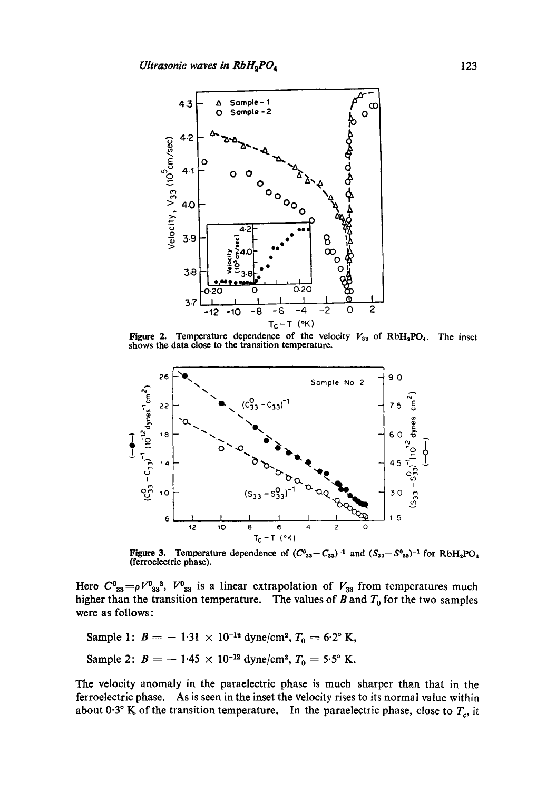

Figure 2. Temperature dependence of the velocity  $V_{33}$  of RbH<sub>3</sub>PO<sub>4</sub>. The inset shows the data close to the transition temperature.



Figure 3. Temperature dependence of  $(C^{0}_{33}-C_{33})^{-1}$  and  $(S_{33}-S^{0}_{33})^{-1}$  for RbH<sub>2</sub>PO<sub>4</sub> (ferroelectric phase).

Here  $C^0_{33} = \rho V^0_{33}^3$ ,  $V^0_{33}$  is a linear extrapolation of  $V_{33}$  from temperatures much higher than the transition temperature. The values of  $B$  and  $T_0$  for the two samples were as follows:

Sample 1:  $B = -1.31 \times 10^{-12}$  dyne/cm<sup>2</sup>,  $T_0 = 6.2$ ° K, Sample 2:  $B = -1.45 \times 10^{-12}$  dyne/cm<sup>2</sup>,  $T_0 = 5.5^\circ$  K.

The velocity anomaly in the paraelectric phase is much sharper than that in the ferroelectric phase. As is seen in the inset the velocity rises to its normal value within about 0.3° K of the transition temperature, In the paraelectric phase, close to  $T_c$ , it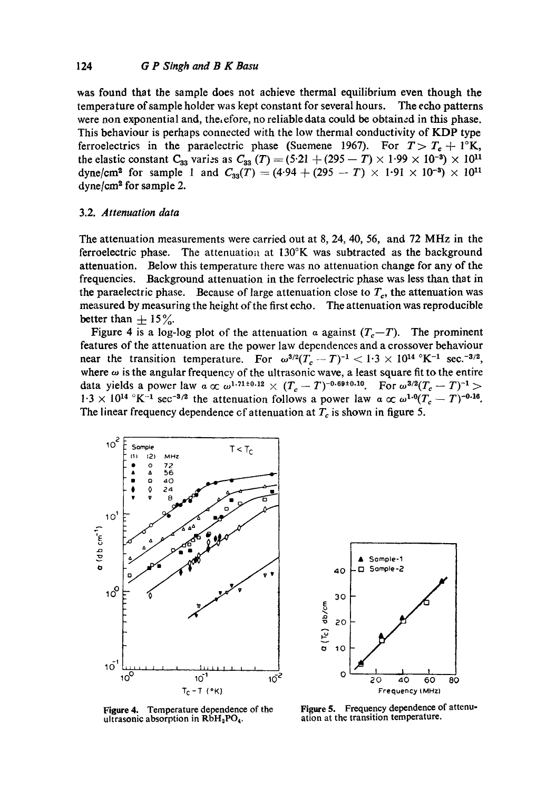was found that the sample does not achieve thermal equilibrium even though the temperature of sample holder was kept constant for several hours. The echo patterns were non exponential and, the, efore, no reliable data could be obtained in this phase. This behaviour is perhaps connected with the low thermal conductivity of KDP type ferroelectrics in the paraelectric phase (Suemene 1967). For  $T > T_c + 1$ °K, the elastic constant  $C_{33}$  varies as  $C_{33}$   $(T) = (5.21 + (295 - T) \times 1.99 \times 10^{-3}) \times 10^{11}$ dyne/cm<sup>2</sup> for sample 1 and  $C_{33}(T) = (4.94 + (295 - T) \times 1.91 \times 10^{-3}) \times 10^{11}$  $dyne/cm<sup>2</sup>$  for sample 2.

# 3.2. *Attenuation data*

The attenuation measurements were carried out at 8, 24, 40, 56, and 72 MHz in the ferroelectric phase. The attenuation at  $130^{\circ}$ K was subtracted as the background attenuation. Below this temperature there was no attenuation change for any of the frequencies. Background attenuation in the ferroelectric phase was less than that in the paraelectric phase. Because of large attenuation close to  $T_c$ , the attenuation was measured by measuring the height of the first echo. The attenuation was reproducible better than  $\pm$  15%.

Figure 4 is a log-log plot of the attenuation a against  $(T_c-T)$ . The prominent features of the attenuation are the power law dependences and a crossover behaviour near the transition temperature. For  $\omega^{3/2}(T_c-T)^{-1} < 1.3 \times 10^{14} \text{ °K}^{-1}$  sec.<sup>-3/2</sup>, where  $\omega$  is the angular frequency of the ultrasonic wave, a least square fit to the entire data yields a power law  $\alpha \propto \omega^{1.71 \pm 0.12} \times (T_c - T)^{-0.69 \pm 0.10}$ . For  $\omega^{3/2}(T_c - T)^{-1}$  >  $1.3 \times 10^{14}$  °K<sup>-1</sup> sec<sup>-3/2</sup> the attenuation follows a power law  $\alpha \propto \omega^{1.0} (T_c - T)^{-0.16}$ . The linear frequency dependence of attenuation at  $T_c$  is shown in figure 5.



Sample-1  $40$  -D Sample-2  $a (r_c)$  db/cm<br>  $a (r_c)$ <br>  $b (r_c)$ <br>  $c (r_c)$ <br>  $c (r_c)$ 2o **~** 10 0 I | I 20 40 60 80 Frequency {MHz)

**Figure** 4. Temperature dependence of the ultrasonic absorption in  $RbH_2PO_4$ .

**Figure** 5. Frequency dependence of attenuation at the transition temperature.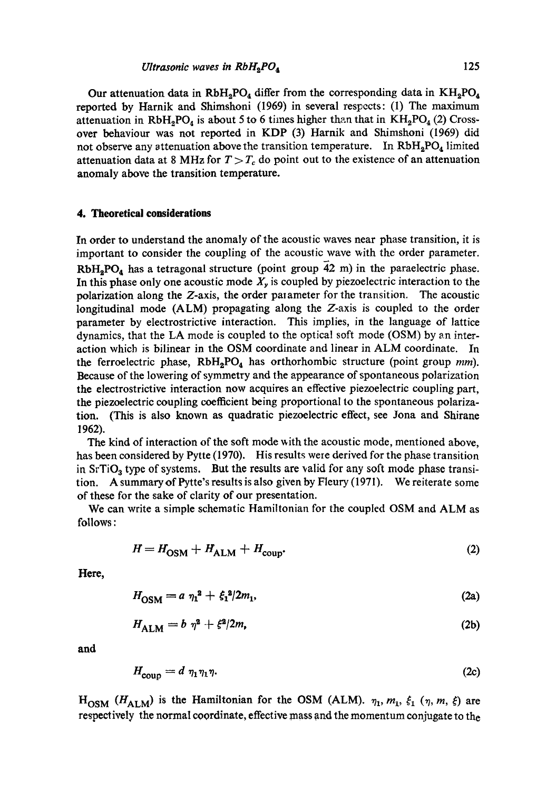Our attenuation data in  $RbH_2PO_4$  differ from the corresponding data in  $KH_2PO_4$ reported by Harnik and Shimshoni (1969) in several respects: (1) The maximum attenuation in RbH<sub>2</sub>PO<sub>4</sub> is about 5 to 6 times higher than that in  $KH_2PO_4(2)$  Crossover behaviour was not reported in KDP (3) Harnik and Shimshoni (1969) did not observe any attenuation above the transition temperature. In  $RbH_2PO_4$  limited attenuation data at 8 MHz for  $T > T_c$  do point out to the existence of an attenuation anomaly above the transition temperature.

#### **4. Theoretical considerations**

In order to understand the anomaly of the acoustic waves near phase transition, it is important to consider the coupling of the acoustic wave with the order parameter.  $RbH_2PO_4$  has a tetragonal structure (point group  $\overline{4}2$  m) in the paraelectric phase. In this phase only one acoustic mode  $X<sub>y</sub>$  is coupled by piezoelectric interaction to the polarization along the Z-axis, the order parameter for the transition. The acoustic longitudinal mode (ALM) propagating along the Z-axis is coupled to the order parameter by electrostrictive interaction. This implies, in the language of lattice dynamics, that the LA mode is coupled to the optical soft mode (OSM) by an interaction whicb is bilinear in the OSM coordinate and linear in ALM coordinate. In the ferroelectric phase,  $RbH<sub>2</sub>PO<sub>4</sub>$  has orthorhombic structure (point group *mm*). Because of the lowering of symmetry and the appearance of spontaneous polarization the electrostrictive interaction now acquires an effective piezoelectric coupling part, the piezoelectric coupling coefficient being proportional to the spontaneous polarization. (This is also known as quadratic piezoelectric effect, see Jona and Shirane 1962).

The kind of interaction of the soft mode with the acoustic mode, mentioned above, has been considered by Pytte (1970). His results were derived for the phase transition in  $SrTiO<sub>3</sub>$  type of systems. But the results are valid for any soft mode phase transition. A summary of Pytte's results is also given by Fleury (1971). We reiterate some of these for the sake of clarity of our presentation.

We can write a simple schematic Hamiltonian for the coupled OSM and ALM as follows:

$$
H = H_{\text{OSM}} + H_{\text{ALM}} + H_{\text{coup}}.\tag{2}
$$

**Here,** 

$$
H_{\rm OSM} = a \ \eta_1^2 + \xi_1^2 / 2m_1,\tag{2a}
$$

$$
H_{\text{AIM}} = b \ \eta^2 + \xi^2 / 2m, \tag{2b}
$$

**and** 

$$
H_{\text{coup}} = d \eta_1 \eta_1 \eta. \tag{2c}
$$

 $H_{\text{OSM}}$  ( $H_{\text{ALM}}$ ) is the Hamiltonian for the OSM (ALM).  $\eta_1, m_1, \xi_1$  ( $\eta, m, \xi$ ) are respectively the normal coordinate, effective mass and the momentum conjugate to the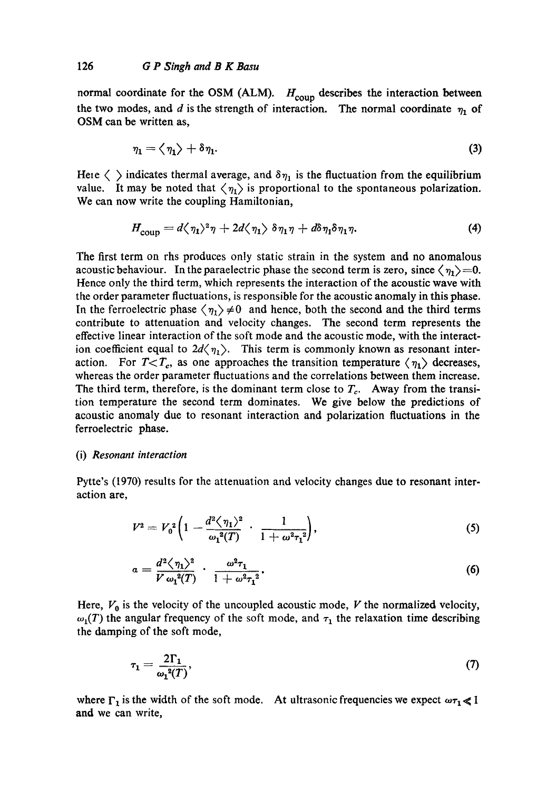normal coordinate for the OSM (ALM).  $H_{\text{coup}}$  describes the interaction between the two modes, and d is the strength of interaction. The normal coordinate  $\eta_1$  of OSM can be written as,

$$
\eta_1 = \langle \eta_1 \rangle + \delta \eta_1. \tag{3}
$$

Here  $\langle \rangle$  indicates thermal average, and  $\delta \eta_1$  is the fluctuation from the equilibrium value. It may be noted that  $\langle \eta_1 \rangle$  is proportional to the spontaneous polarization. We can now write the coupling Hamiltonian,

$$
H_{\text{coup}} = d\langle \eta_1 \rangle^2 \eta + 2d\langle \eta_1 \rangle \delta \eta_1 \eta + d\delta \eta_1 \delta \eta_1 \eta. \tag{4}
$$

The first term on rhs produces only static strain in the system and no anomalous acoustic behaviour. In the paraelectric phase the second term is zero, since  $\langle \eta_1 \rangle = 0$ . Hence only the third term, which represents the interaction of the acoustic wave with the order parameter fluctuations, is responsible for the acoustic anomaly in this phase. In the ferroelectric phase  $\langle \eta_1 \rangle \neq 0$  and hence, both the second and the third terms contribute to attenuation and velocity changes. The second term represents the effective linear interaction of the soft mode and the acoustic mode, with the interaction coefficient equal to  $2d\langle \eta_1 \rangle$ . This term is commonly known as resonant interaction. For  $T < T_c$ , as one approaches the transition temperature  $\langle \eta_1 \rangle$  decreases, whereas the order parameter fluctuations and the correlations between them increase. The third term, therefore, is the dominant term close to  $T_c$ . Away from the transition temperature the second term dominates. We give below the predictions of acoustic anomaly due to resonant interaction and polarization fluctuations in the ferroelectric phase.

#### (i) *Resonant interaction*

Pytte's (1970) results for the attenuation and velocity changes due to resonant interaction are,

$$
V^{2} = V_{0}^{2} \left( 1 - \frac{d^{2} \langle \eta_{1} \rangle^{2}}{\omega_{1}^{2}(T)} \cdot \frac{1}{1 + \omega^{2} \tau_{1}^{2}} \right), \tag{5}
$$

$$
a=\frac{d^2\langle\,\eta_1\rangle^2}{V\,\omega_1^2(T)}\,\cdot\,\frac{\omega^2\tau_1}{1+\omega^2\tau_1^2}.\tag{6}
$$

Here,  $V_0$  is the velocity of the uncoupled acoustic mode, V the normalized velocity,  $\omega_1(T)$  the angular frequency of the soft mode, and  $\tau_1$  the relaxation time describing the damping of the soft mode,

$$
\tau_1 = \frac{2\Gamma_1}{\omega_1^2(T)},\tag{7}
$$

where  $\Gamma_1$  is the width of the soft mode. At ultrasonic frequencies we expect  $\omega \tau_1 \ll 1$ and we can write,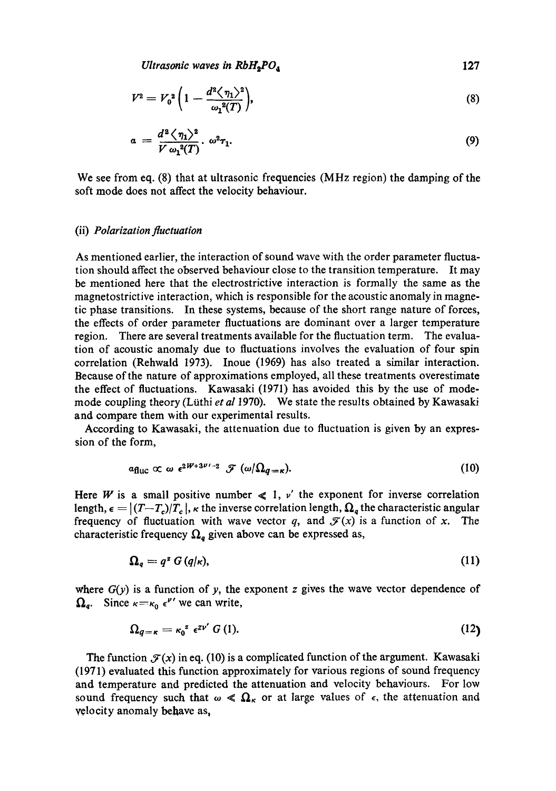*Ultrasonic waves in RbH<sub>2</sub>PO<sub>4</sub>* 127

$$
V^2 = V_0^2 \left( 1 - \frac{d^2 \langle \eta_1 \rangle^2}{\omega_1^2(T)} \right), \tag{8}
$$

$$
a = \frac{d^2 \langle \eta_1 \rangle^2}{V \omega_1^2(T)} \cdot \omega^2 \tau_1. \tag{9}
$$

We see from eq. (8) that at ultrasonic frequencies (MHz region) the damping of the soft mode does not affect the velocity behaviour.

#### (ii) *Polarization fluetuation*

As mentioned earlier, the interaction of sound wave with the order parameter fluctuation should affect the observed behaviour close to the transition temperature. It may be mentioned here that the electrostrietive interaction is formally the same as the magnetostrictive interaction, which is responsible for the acoustic anomaly in magnetic phase transitions. In these systems, because of the short range nature of forces, the effects of order parameter fluctuations are dominant over a larger temperature region. There are several treatments available for the fluctuation term. The evaluation of acoustic anomaly due to fluctuations involves the evaluation of four spin correlation (Rehwald 1973). Inoue (1969) has also treated a similar interaction. Because of the nature of approximations employed, all these treatments overestimate the effect of fluctuations. Kawasaki (1971) has avoided this by the use of modemode coupling theory (Lfithi *et al* 1970). We state the results obtained by Kawasaki and compare them with our experimental results.

According to Kawasaki, the attenuation due to fluctuation is given by an expression of the form,

$$
a_{\text{fluc}} \propto \omega \epsilon^{2W+3\nu-2} \mathcal{F}(\omega/\Omega_{q=\kappa}). \tag{10}
$$

Here W is a small positive number  $\leq 1$ ,  $\nu'$  the exponent for inverse correlation length,  $\epsilon = |(T-T_c)/T_c|$ ,  $\kappa$  the inverse correlation length,  $\Omega_a$  the characteristic angular frequency of fluctuation with wave vector q, and  $\mathcal{F}(x)$  is a function of x. The characteristic frequency  $\Omega_q$  given above can be expressed as,

$$
\Omega_q = q^z \ G\left(q/\kappa\right),\tag{11}
$$

where  $G(y)$  is a function of y, the exponent z gives the wave vector dependence of  $\Omega_q$ . Since  $\kappa = \kappa_0 \epsilon^{\nu'}$  we can write,

$$
\Omega_{q=\kappa}=\kappa_0^{z} \epsilon^{z\nu'} G\,(1). \tag{12}
$$

The function  $\mathcal{F}(x)$  in eq. (10) is a complicated function of the argument. Kawasaki (1971) evaluated this function approximately for various regions of sound frequency and temperature and predicted the attenuation and velocity behaviours. For low sound frequency such that  $\omega \ll \Omega_{\kappa}$  or at large values of  $\epsilon$ , the attenuation and velocity anomaly behave as,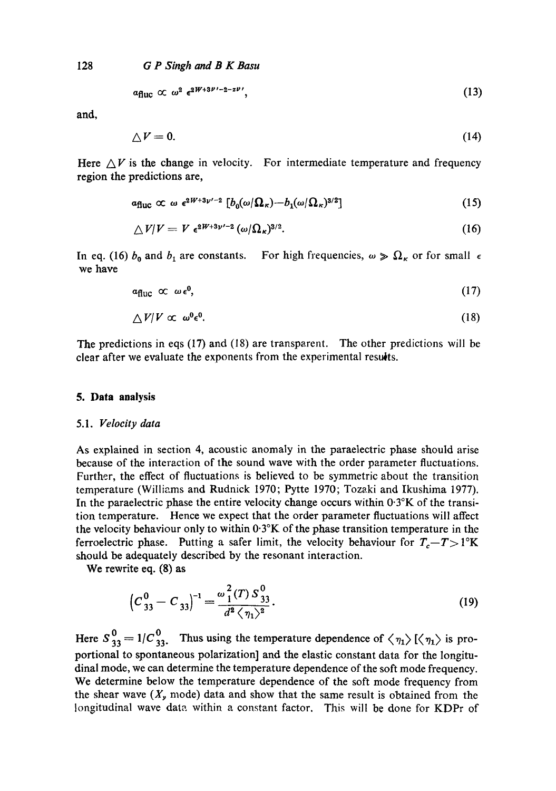128 *G P Singh and B K Basu* 

$$
\alpha_{\text{fluc}} \propto \omega^2 \epsilon^{2W+3\nu'-2-z\nu'}, \tag{13}
$$

and,

$$
\triangle V = 0. \tag{14}
$$

Here  $\Delta V$  is the change in velocity. For intermediate temperature and frequency region the predictions are,

$$
a_{\text{fluc}} \propto \omega \epsilon^{2W+3\nu'-2} \left[ b_0(\omega/\Omega_\kappa) - b_1(\omega/\Omega_\kappa)^{3/2} \right] \tag{15}
$$

$$
\triangle V/V = V \epsilon^{2W+3\nu'-2} (\omega/\Omega_\kappa)^{3/2}.
$$
 (16)

In eq. (16)  $b_0$  and  $b_1$  are constants. For high frequencies,  $\omega \gg \Omega_K$  or for small  $\epsilon$ we have

$$
\alpha_{\text{fluc}} \propto \omega \, \epsilon^0, \tag{17}
$$

$$
\triangle V/V \propto \omega^0 \epsilon^0. \tag{18}
$$

The predictions in eqs (17) and (18) are transparcnt. The other predictions will be clear after we evaluate the exponents from the experimental results.

## **5. Data analysis**

#### 5.1. *Velocity data*

As explained in section 4, acoustic anomaly in the paraelectric phase should arise because of the interaction of the sound wave with the order parameter fluctuations. Further, the effect of fluctuations is believed to be symmetric about the transition temperature (Williams and Rudnick 1970; Pytte 1970; Tozaki and Ikushima 1977). In the paraelectric phase the entire velocity change occurs within  $0.3\textdegree K$  of the transition temperature. Hence we expect that the order parameter fluctuations will affect the velocity behaviour only to within  $0.3\textdegree K$  of the phase transition temperature in the ferroelectric phase. Putting a safer limit, the velocity behaviour for  $T_c - T > 1$ <sup>o</sup>K should be adequately described by the resonant interaction.

We rewrite eq. (8) as

$$
\left(C_{33}^0 - C_{33}\right)^{-1} = \frac{\omega_1^2(T) S_{33}^0}{d^2 \langle \eta_1 \rangle^2}.
$$
\n(19)

Here  $S_{33}^0 = 1/C_{33}^0$ . Thus using the temperature dependence of  $\langle \eta_1 \rangle$  [ $\langle \eta_1 \rangle$  is proportional to spontaneous polarization] and the elastic constant data for the longitudinal mode, we can determine the temperature dependence of the soft mode frequency. We determine below the temperature dependence of the soft mode frequency from the shear wave  $(X<sub>r</sub>$  mode) data and show that the same result is obtained from the longitudinal wave date. within a constant factor. This will be done for KDPr of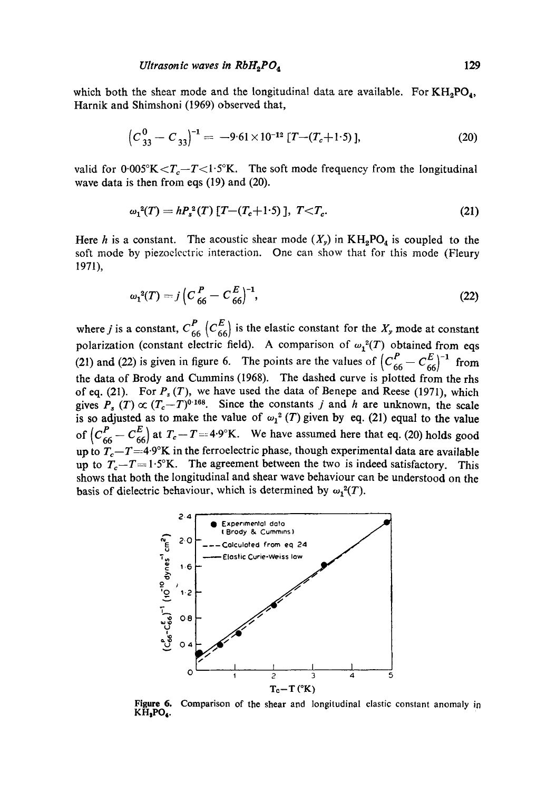which both the shear mode and the longitudinal data are available. For  $KH_2PO_4$ , Harnik and Shimshoni (1969) observed that,

$$
\left(C_{33}^{0} - C_{33}\right)^{-1} = -9.61 \times 10^{-12} \left[T - (T_c + 1.5)\right],\tag{20}
$$

valid for  $0.005\text{K} < T_c - T < 1.5\text{K}$ . The soft mode frequency from the longitudinal wave data is then from eqs (19) and (20).

$$
\omega_1^2(T) = h P_s^2(T) \left[ T - (T_c + 1.5) \right], \ T < T_c. \tag{21}
$$

Here h is a constant. The acoustic shear mode  $(X_y)$  in  $KH_2PO_4$  is coupled to the soft mode by piezoelectric interaction. One can show that for this mode (Fleury 1971),

$$
\omega_1^2(T) = j \left( C \frac{P}{66} - C \frac{E}{66} \right)^{-1},\tag{22}
$$

where *j* is a constant,  $C_{66}^{P}$  ( $C_{66}^{E}$ ) is the elastic constant for the  $X_{y}$  mode at constant polarization (constant electric field). A comparison of  $\omega_1^2(T)$  obtained from eqs (21) and (22) is given in figure 6. The points are the values of  $(C_{66}^P - C_{66}^E)^{-1}$  from the data of Brody and Cummins (1968). The dashed curve is plotted from the rhs of eq. (21). For  $P_s(T)$ , we have used the data of Benepe and Reese (1971), which gives  $P_s(T) \propto (T_c-T)^{0.168}$ . Since the constants j and h are unknown, the scale is so adjusted as to make the value of  $\omega_1^2$  (T) given by eq. (21) equal to the value of  $(C_{66}^P - C_{66}^E)$  at  $T_c - T = 4.9^\circ$ K. We have assumed here that eq. (20) holds good up to  $T_c-T=4.9\text{°K}$  in the ferroelectric phase, though experimental data are available up to  $T_c-T=1.5\text{°K}$ . The agreement between the two is indeed satisfactory. This shows that both the longitudinal and shear wave behaviour can be understood on the basis of dielectric behaviour, which is determined by  $\omega_1^2(T)$ .



Figure 6. Comparison of the shear and longitudinal elastic constant anomaly in **KHsPO,.**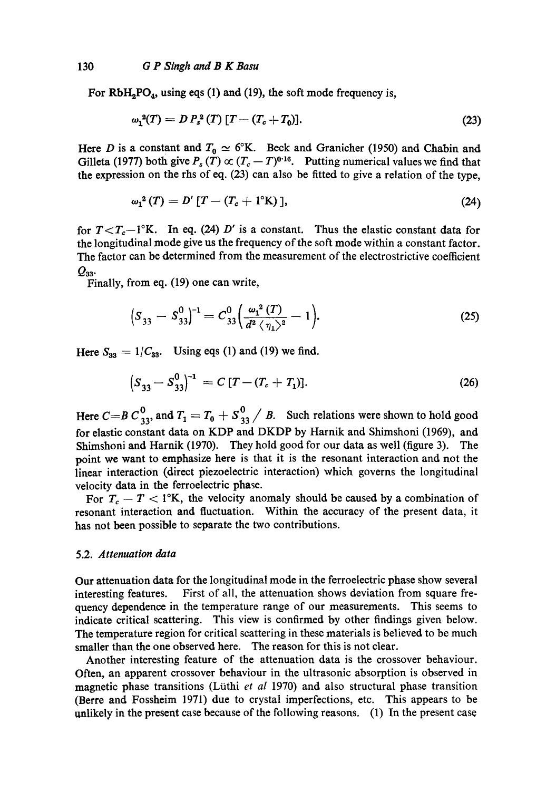For  $RbH<sub>2</sub>PO<sub>4</sub>$ , using eqs (1) and (19), the soft mode frequency is,

$$
\omega_1^2(T) = D P_s^2(T) [T - (T_c + T_0)]. \tag{23}
$$

Here D is a constant and  $T_0 \simeq 6^\circ K$ . Beck and Granicher (1950) and Chabin and Gilleta (1977) both give  $P_s(T) \propto (T_c - T)^{0.16}$ . Putting numerical values we find that the expression on the rhs of eq. (23) can also be fitted to give a relation of the type,

$$
\omega_1^2(T) = D'[T - (T_c + 1^{\circ}K)], \qquad (24)
$$

for  $T < T_c - 1$ °K. In eq. (24) D' is a constant. Thus the elastic constant data for the longitudinal mode give us the frequency of the soft mode within a constant factor. The factor can be determined from the measurement of the electrostrictive coefficient  $Q_{33}$ .

Finally, from eq. (19) one can write,

$$
(S_{33} - S_{33}^0)^{-1} = C_{33}^0 \left( \frac{\omega_1^2 (T)}{d^2 \langle \eta_1 \rangle^2} - 1 \right).
$$
 (25)

Here  $S_{33} = 1/C_{33}$ . Using eqs (1) and (19) we find.

$$
(S_{33} - S_{33}^0)^{-1} = C [T - (T_c + T_1)].
$$
\n(26)

Here  $C=B C_{33}^0$ , and  $T_1 = T_0 + S_{33}^0 / B$ . Such relations were shown to hold good for elastic constant data on KDP and DKDP by Harnik and Shimshoni (1969), and Shimshoni and Harnik (1970). They hold good for our data as well (figure 3). The point we want to emphasize here is that it is the resonant interaction and not the linear interaction (direct piezoelectric interaction) which governs the longitudinal velocity data in the ferroelectric phase.

For  $T_c - T < 1$ °K, the velocity anomaly should be caused by a combination of resonant interaction and fluctuation. Within the accuracy of the present data, it has not been possible to separate the two contributions.

## 5.2. *Attenuation data*

Our attenuation data for the longitudinal mode in the ferroelectric phase show several interesting features. First of all, the attenuation shows deviation from square frequency dependence in the temperature range of our measurements. This seems to indicate critical scattering. This view is confirmed by other findings given below. The temperature region for critical scattering in these materials is believed to be much smaller than the one observed here. The reason for this is not clear.

Another interesting feature of the attenuation data is the crossover behaviour. Often, an apparent crossover behaviour in the ultrasonic absorption is observed in magnetic phase transitions (Lüthi *et al 1970)* and also structural phase transition (Berre and Fossheim 1971) due to crystal imperfections, etc. This appears to be unlikely in the present case because of the following reasons.  $(1)$  In the present case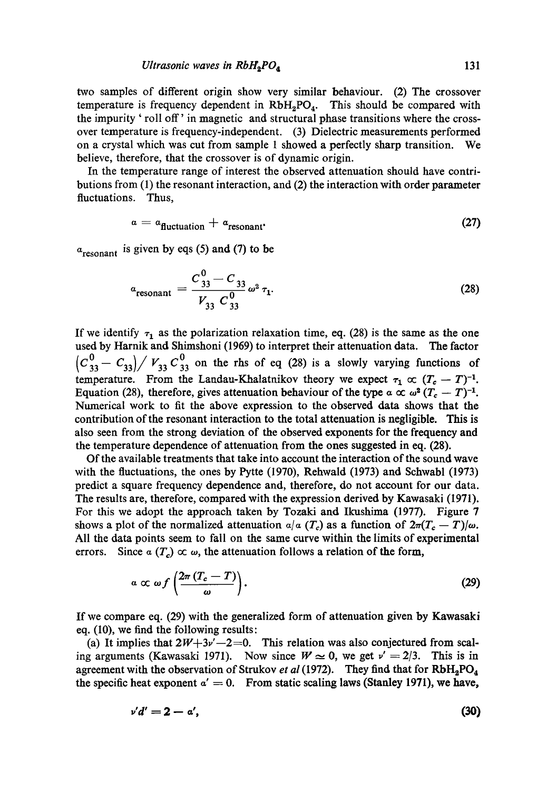#### *Ultrasonic waves in*  $RbH_2PO_4$  *131*

tWo samples of different origin show very similar behaviour. (2) The crossover temperature is frequency dependent in  $RbH_2PO_4$ . This should be compared with the impurity ' roll off' in magnetic and structural phase transitions where the crossover temperature is frequency-independent. (3) Dielectric measurements performed on a crystal which was cut from sample 1 showed a perfectly sharp transition. We believe, therefore, that the crossover is of dynamic origin.

In the temperature range of interest the observed attenuation should have contributions from (1) the resonant interaction, and (2) the interaction with order parameter fluctuations. Thus,

$$
a = a_{\text{fluctuation}} + a_{\text{resonant}} \tag{27}
$$

 $a_{\text{resonant}}$  is given by eqs (5) and (7) to be

$$
a_{\text{resonant}} = \frac{C_{33}^0 - C_{33}}{V_{33} C_{33}^0} \omega^2 \tau_1.
$$
 (28)

If we identify  $\tau_1$  as the polarization relaxation time, eq. (28) is the same as the one used by Harnik and Shimshoni (1969) to interpret their attenuation data. The factor  $\left(C_{33}^0 - C_{33}\right)/V_{33} C_{33}^0$  on the rhs of eq (28) is a slowly varying functions of temperature. From the Landau-Khalatnikov theory we expect  $\tau_1 \propto (T_c - T)^{-1}$ . Equation (28), therefore, gives attenuation behaviour of the type  $\alpha \propto \omega^2 (T_c - T)^{-1}$ . Numerical work to fit the above expression to the observed data shows that the contribution of the resonant interaction to the total attenuation is negligible. This is also seen from the strong deviation of the observed exponents for the frequency and the temperature dependence of attenuation from the ones suggested in eq. (28).

Of the available treatments that take into account the interaction of the sound wave with the fluctuations, the ones by Pytte (1970), Rehwald (1973) and Schwabl (1973) predict a square frequency dependence and, therefore, do not account for our data. The results are, therefore, compared with the expression derived by Kawasaki (1971). For this we adopt the approach taken by Tozaki and Ikushima (1977). Figure 7 shows a plot of the normalized attenuation  $a/a$  (T<sub>c</sub>) as a function of  $2\pi (T_c - T)/\omega$ . All the data points seem to fall on the same curve within the limits of experimental errors. Since  $\alpha(T_c) \propto \omega$ , the attenuation follows a relation of the form,

$$
a \propto \omega f \left( \frac{2\pi (T_c - T)}{\omega} \right). \tag{29}
$$

If we compare eq. (29) with the generalized form of attenuation given by Kawasaki eq. (I0), we find the following results:

(a) It implies that  $2W+3\nu'-2=0$ . This relation was also conjectured from scaling arguments (Kawasaki 1971). Now since  $W \approx 0$ , we get  $v' = 2/3$ . This is in agreement with the observation of Strukov *et al* (1972). They find that for  $RbH_2PO_4$ the specific heat exponent  $a' = 0$ . From static scaling laws (Stanley 1971), we have,

$$
v'd'=2-a',\t\t(30)
$$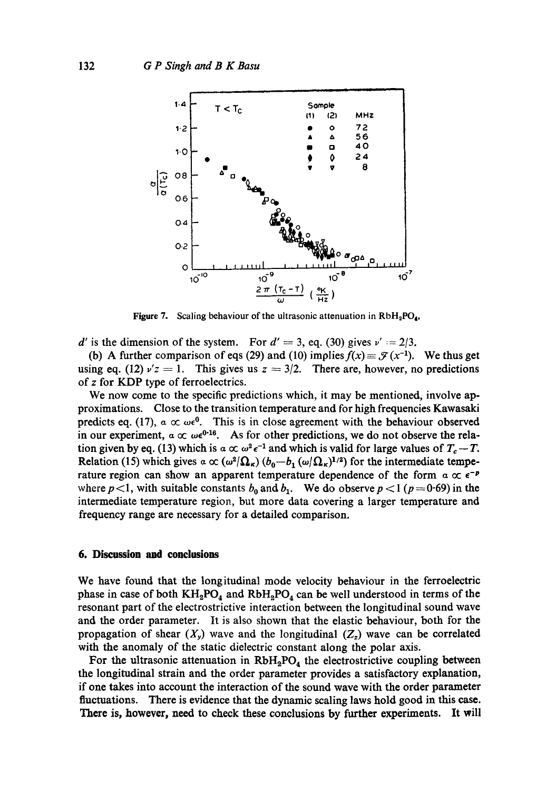

**Figure 7.** Scaling behaviour of the ultrasonic attenuation in  $RbH_2PO_4$ .

d' is the dimension of the system. For  $d' = 3$ , eq. (30) gives  $v' = 2/3$ .

(b) A further comparison of eqs (29) and (10) implies  $f(x) = \mathcal{F}(x^{-1})$ . We thus get using eq. (12)  $v'z = 1$ . This gives us  $z = 3/2$ . There are, however, no predictions of z for KDP type of ferroelectrics.

We now come to the specific predictions which, it may be mentioned, involve approximations. Close to the transition temperature and for high frequencies Kawasaki predicts eq. (17),  $\alpha \propto \omega \epsilon^0$ . This is in close agreement with the behaviour observed in our experiment,  $\alpha \propto \omega \epsilon^{0.16}$ . As for other predictions, we do not observe the relation given by eq. (13) which is  $a \propto \omega^2 \epsilon^{-1}$  and which is valid for large values of  $T_c - T$ . Relation (15) which gives  $\alpha \propto (\omega^2/\Omega_\kappa) (b_0-b_1(\omega/\Omega_\kappa)^{1/2})$  for the intermediate temperature region can show an apparent temperature dependence of the form  $\alpha \propto \epsilon^{-p}$ where  $p<1$ , with suitable constants  $b_0$  and  $b_1$ . We do observe  $p < 1$  ( $p = 0.69$ ) in the intermediate temperature region, but more data covering a larger temperature and frequency range are necessary for a detailed comparison.

## **6. Discussion and conclusions**

We have found that the longitudinal mode velocity behaviour in the ferroelectric phase in case of both  $KH_2PO_4$  and  $RbH_2PO_4$  can be well understood in terms of the resonant part of the electrostrictive interaction between the longitudinal sound wave and the order parameter. It is also shown that the elastic behaviour, both for the propagation of shear  $(X_y)$  wave and the longitudinal  $(Z_z)$  wave can be correlated with the anomaly of the static dielectric constant along the polar axis.

For the ultrasonic attenuation in  $RbH_2PO_4$  the electrostrictive coupling between the longitudinal strain and the order parameter provides a satisfactory explanation, if one takes into account the interaction of the sound wave with the order parameter fluctuations. There is evidence that the dynamic scaling laws hold good in this ease. There is, however, need to check these conclusions by further experiments. It will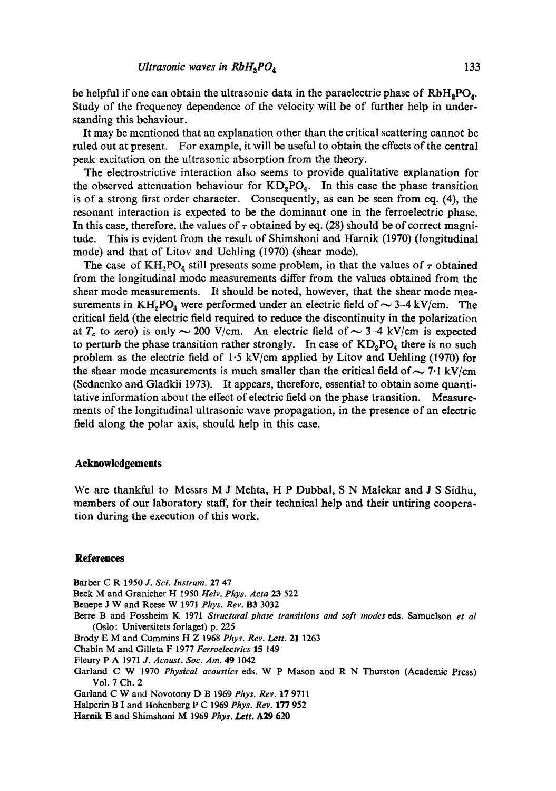be helpful if one can obtain the ultrasonic data in the paraelectric phase of  $RbH_2PO_4$ . Study of the frequency dependence of the velocity will be of further help in understanding this behaviour.

It may be mentioned that an explanation other than the critical scattering cannot be ruled out at present. For example, it will be useful to obtain the effects of the central peak excitation on the ultrasonic absorption from the theory.

The electrostrictive interaction also seems to provide qualitative explanation for the observed attenuation behaviour for  $KD_2PO_4$ . In this case the phase transition is of a strong first order character. Consequently, as can be seen from eq. (4), the resonant interaction is expected to be the dominant one in the ferroelectric phase. In this case, therefore, the values of  $\tau$  obtained by eq. (28) should be of correct magnitude. This is evident from the result of Shimshoni and Harnik (1970) (longitudinal mode) and that of Litov and Uehling (1970) (shear mode).

The case of KH<sub>2</sub>PO<sub>4</sub> still presents some problem, in that the values of  $\tau$  obtained from the longitudinal mode measurements differ from the values obtained from the shear mode measurements. It should be noted, however, that the shear mode measurements in  $KH_2PO_4$  were performed under an electric field of  $\sim$  3-4 kV/cm. The critical field (the electric field required to reduce the discontinuity in the polarization at  $T_c$  to zero) is only  $\sim$  200 V/cm. An electric field of  $\sim$  3-4 kV/cm is expected to perturb the phase transition rather strongly. In case of  $KD_2PO_4$  there is no such problem as the electric field of 1.5 kV/em applied by Litov and Uehling (1970) for the shear mode measurements is much smaller than the critical field of  $\sim$  7.1 kV/cm (Sednenko and Gladkii 1973). It appears, therefore, essential to obtain some quantitative information about the effect of electric field on the phase transition. Measurements of the longitudinal ultrasonic wave propagation, in the presence of an electric field along the polar axis, should help in this case.

#### **Acknowledgements**

We are thankful to Messrs M J Mehta, H P Dubbal, S N Malekar and J S Sidhu, members of our laboratory staff, for their technical help and their untiring cooperation during the execution of this work.

#### **References**

Barber C R 1950 *J. Sci. Instrum.* 27 47

Beck M and Granicher H 1950 *Helv. Phys. Acta* 23 522

- Benepe J W and Reese W 1971 *Phys. Rev.* **B3** 3032
- Berre B and Fossheim K 1971 *Structural phase transitions and soft modes* eds. Samuelson *et a/*  (Oslo: Universitets forlaget) p. 225
- Brody E M and Cummins H Z 1968 *Phys. Rev. Left.* 21 1263
- Chabin M and Gilleta F 1977 *Ferroelectrics* 15 149
- Fleury P A 1971 *J. Acoust. Soc. Am.* 49 1042
- Garland C W 1970 *Physical acoustics* eds. W P Mason and R N Thurston (Academic Press) Vol. 7 Ch. 2

Garland C W and Novotony D B 1969 *Phys. Rev.* 17 9711

Halperin B I and Hohenberg P C 1969 *Phys. Rev.* 177 952

Hamik E and Shimshoni M 1969 *Phys. Lett.* A29 620